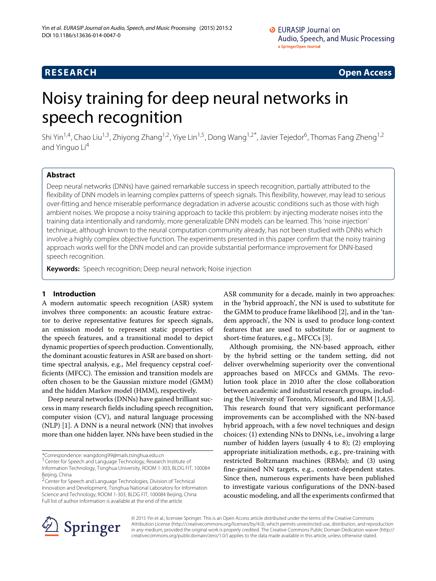## **RESEARCH Open Access**

# Noisy training for deep neural networks in speech recognition

Shi Yin<sup>1,4</sup>, Chao Liu<sup>1,3</sup>, Zhiyong Zhang<sup>1,2</sup>, Yiye Lin<sup>1,5</sup>, Dong Wang<sup>1,2\*</sup>, Javier Tejedor<sup>6</sup>, Thomas Fang Zheng<sup>1,2</sup> and Yinguo Li<sup>4</sup>

## **Abstract**

Deep neural networks (DNNs) have gained remarkable success in speech recognition, partially attributed to the flexibility of DNN models in learning complex patterns of speech signals. This flexibility, however, may lead to serious over-fitting and hence miserable performance degradation in adverse acoustic conditions such as those with high ambient noises. We propose a noisy training approach to tackle this problem: by injecting moderate noises into the training data intentionally and randomly, more generalizable DNN models can be learned. This 'noise injection' technique, although known to the neural computation community already, has not been studied with DNNs which involve a highly complex objective function. The experiments presented in this paper confirm that the noisy training approach works well for the DNN model and can provide substantial performance improvement for DNN-based speech recognition.

**Keywords:** Speech recognition; Deep neural network; Noise injection

## **1 Introduction**

A modern automatic speech recognition (ASR) system involves three components: an acoustic feature extractor to derive representative features for speech signals, an emission model to represent static properties of the speech features, and a transitional model to depict dynamic properties of speech production. Conventionally, the dominant acoustic features in ASR are based on shorttime spectral analysis, e.g., Mel frequency cepstral coefficients (MFCC). The emission and transition models are often chosen to be the Gaussian mixture model (GMM) and the hidden Markov model (HMM), respectively.

Deep neural networks (DNNs) have gained brilliant success in many research fields including speech recognition, computer vision (CV), and natural language processing (NLP) [\[1\]](#page-12-0). A DNN is a neural network (NN) that involves more than one hidden layer. NNs have been studied in the

\*Correspondence: [wangdong99@mails.tsinghua.edu.cn](mailto: wangdong99@mails.tsinghua.edu.cn)

<sup>1</sup> Center for Speech and Language Technology, Research Institute of Information Technology, Tsinghua University, ROOM 1-303, BLDG FIT, 100084 Beijing, China

ASR community for a decade, mainly in two approaches: in the 'hybrid approach', the NN is used to substitute for the GMM to produce frame likelihood [\[2\]](#page-12-1), and in the 'tandem approach', the NN is used to produce long-context features that are used to substitute for or augment to short-time features, e.g., MFCCs [\[3\]](#page-12-2).

Although promising, the NN-based approach, either by the hybrid setting or the tandem setting, did not deliver overwhelming superiority over the conventional approaches based on MFCCs and GMMs. The revolution took place in 2010 after the close collaboration between academic and industrial research groups, including the University of Toronto, Microsoft, and IBM [\[1](#page-12-0)[,4,](#page-12-3)[5\]](#page-12-4). This research found that very significant performance improvements can be accomplished with the NN-based hybrid approach, with a few novel techniques and design choices: (1) extending NNs to DNNs, i.e., involving a large number of hidden layers (usually 4 to 8); (2) employing appropriate initialization methods, e.g., pre-training with restricted Boltzmann machines (RBMs); and (3) using fine-grained NN targets, e.g., context-dependent states. Since then, numerous experiments have been published to investigate various configurations of the DNN-based acoustic modeling, and all the experiments confirmed that



© 2015 Yin et al.; licensee Springer. This is an Open Access article distributed under the terms of the Creative Commons Attribution License [\(http://creativecommons.org/licenses/by/4.0\)](http://creativecommons.org/licenses/by/4.0), which permits unrestricted use, distribution, and reproduction in any medium, provided the original work is properly credited. The Creative Commons Public Domain Dedication waiver [\(http://](http://creativecommons.org/publicdomain/zero/1.0/) [creativecommons.org/publicdomain/zero/1.0/\)](http://creativecommons.org/publicdomain/zero/1.0/) applies to the data made available in this article, unless otherwise stated.

<sup>2</sup>Center for Speech and Language Technologies, Division of Technical Innovation and Development, Tsinghua National Laboratory for Information Science and Technology, ROOM 1-303, BLDG FIT, 100084 Beijing, China Full list of author information is available at the end of the article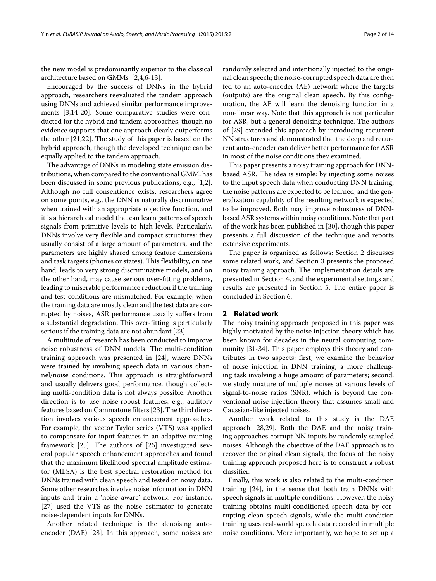the new model is predominantly superior to the classical architecture based on GMMs [\[2,](#page-12-1)[4](#page-12-3)[,6-](#page-12-5)[13\]](#page-12-6).

Encouraged by the success of DNNs in the hybrid approach, researchers reevaluated the tandem approach using DNNs and achieved similar performance improvements [\[3](#page-12-2)[,14](#page-12-7)[-20\]](#page-13-0). Some comparative studies were conducted for the hybrid and tandem approaches, though no evidence supports that one approach clearly outperforms the other [\[21,](#page-13-1)[22\]](#page-13-2). The study of this paper is based on the hybrid approach, though the developed technique can be equally applied to the tandem approach.

The advantage of DNNs in modeling state emission distributions, when compared to the conventional GMM, has been discussed in some previous publications, e.g., [\[1](#page-12-0)[,2\]](#page-12-1). Although no full consentience exists, researchers agree on some points, e.g., the DNN is naturally discriminative when trained with an appropriate objective function, and it is a hierarchical model that can learn patterns of speech signals from primitive levels to high levels. Particularly, DNNs involve very flexible and compact structures: they usually consist of a large amount of parameters, and the parameters are highly shared among feature dimensions and task targets (phones or states). This flexibility, on one hand, leads to very strong discriminative models, and on the other hand, may cause serious over-fitting problems, leading to miserable performance reduction if the training and test conditions are mismatched. For example, when the training data are mostly clean and the test data are corrupted by noises, ASR performance usually suffers from a substantial degradation. This over-fitting is particularly serious if the training data are not abundant [\[23\]](#page-13-3).

A multitude of research has been conducted to improve noise robustness of DNN models. The multi-condition training approach was presented in [\[24\]](#page-13-4), where DNNs were trained by involving speech data in various channel/noise conditions. This approach is straightforward and usually delivers good performance, though collecting multi-condition data is not always possible. Another direction is to use noise-robust features, e.g., auditory features based on Gammatone filters [\[23\]](#page-13-3). The third direction involves various speech enhancement approaches. For example, the vector Taylor series (VTS) was applied to compensate for input features in an adaptive training framework [\[25\]](#page-13-5). The authors of [\[26\]](#page-13-6) investigated several popular speech enhancement approaches and found that the maximum likelihood spectral amplitude estimator (MLSA) is the best spectral restoration method for DNNs trained with clean speech and tested on noisy data. Some other researches involve noise information in DNN inputs and train a 'noise aware' network. For instance, [\[27\]](#page-13-7) used the VTS as the noise estimator to generate noise-dependent inputs for DNNs.

Another related technique is the denoising autoencoder (DAE) [\[28\]](#page-13-8). In this approach, some noises are randomly selected and intentionally injected to the original clean speech; the noise-corrupted speech data are then fed to an auto-encoder (AE) network where the targets (outputs) are the original clean speech. By this configuration, the AE will learn the denoising function in a non-linear way. Note that this approach is not particular for ASR, but a general denoising technique. The authors of [\[29\]](#page-13-9) extended this approach by introducing recurrent NN structures and demonstrated that the deep and recurrent auto-encoder can deliver better performance for ASR in most of the noise conditions they examined.

This paper presents a noisy training approach for DNNbased ASR. The idea is simple: by injecting some noises to the input speech data when conducting DNN training, the noise patterns are expected to be learned, and the generalization capability of the resulting network is expected to be improved. Both may improve robustness of DNNbased ASR systems within noisy conditions. Note that part of the work has been published in [\[30\]](#page-13-10), though this paper presents a full discussion of the technique and reports extensive experiments.

The paper is organized as follows: Section [2](#page-1-0) discusses some related work, and Section [3](#page-2-0) presents the proposed noisy training approach. The implementation details are presented in Section [4,](#page-4-0) and the experimental settings and results are presented in Section [5.](#page-4-1) The entire paper is concluded in Section [6.](#page-12-8)

#### <span id="page-1-0"></span>**2 Related work**

The noisy training approach proposed in this paper was highly motivated by the noise injection theory which has been known for decades in the neural computing community [\[31-](#page-13-11)[34\]](#page-13-12). This paper employs this theory and contributes in two aspects: first, we examine the behavior of noise injection in DNN training, a more challenging task involving a huge amount of parameters; second, we study mixture of multiple noises at various levels of signal-to-noise ratios (SNR), which is beyond the conventional noise injection theory that assumes small and Gaussian-like injected noises.

Another work related to this study is the DAE approach [\[28](#page-13-8)[,29\]](#page-13-9). Both the DAE and the noisy training approaches corrupt NN inputs by randomly sampled noises. Although the objective of the DAE approach is to recover the original clean signals, the focus of the noisy training approach proposed here is to construct a robust classifier.

Finally, this work is also related to the multi-condition training [\[24\]](#page-13-4), in the sense that both train DNNs with speech signals in multiple conditions. However, the noisy training obtains multi-conditioned speech data by corrupting clean speech signals, while the multi-condition training uses real-world speech data recorded in multiple noise conditions. More importantly, we hope to set up a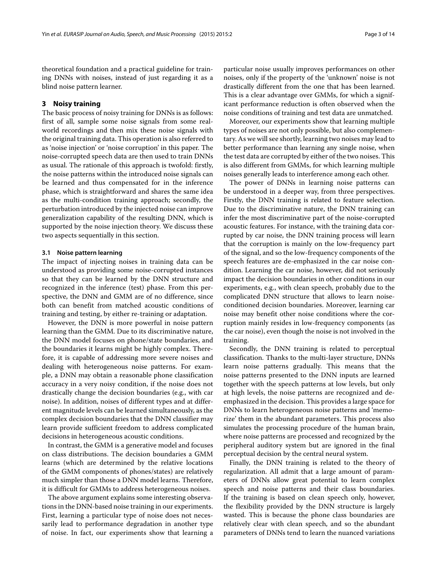theoretical foundation and a practical guideline for training DNNs with noises, instead of just regarding it as a blind noise pattern learner.

#### <span id="page-2-0"></span>**3 Noisy training**

The basic process of noisy training for DNNs is as follows: first of all, sample some noise signals from some realworld recordings and then mix these noise signals with the original training data. This operation is also referred to as 'noise injection' or 'noise corruption' in this paper. The noise-corrupted speech data are then used to train DNNs as usual. The rationale of this approach is twofold: firstly, the noise patterns within the introduced noise signals can be learned and thus compensated for in the inference phase, which is straightforward and shares the same idea as the multi-condition training approach; secondly, the perturbation introduced by the injected noise can improve generalization capability of the resulting DNN, which is supported by the noise injection theory. We discuss these two aspects sequentially in this section.

#### **3.1 Noise pattern learning**

The impact of injecting noises in training data can be understood as providing some noise-corrupted instances so that they can be learned by the DNN structure and recognized in the inference (test) phase. From this perspective, the DNN and GMM are of no difference, since both can benefit from matched acoustic conditions of training and testing, by either re-training or adaptation.

However, the DNN is more powerful in noise pattern learning than the GMM. Due to its discriminative nature, the DNN model focuses on phone/state boundaries, and the boundaries it learns might be highly complex. Therefore, it is capable of addressing more severe noises and dealing with heterogeneous noise patterns. For example, a DNN may obtain a reasonable phone classification accuracy in a very noisy condition, if the noise does not drastically change the decision boundaries (e.g., with car noise). In addition, noises of different types and at different magnitude levels can be learned simultaneously, as the complex decision boundaries that the DNN classifier may learn provide sufficient freedom to address complicated decisions in heterogeneous acoustic conditions.

In contrast, the GMM is a generative model and focuses on class distributions. The decision boundaries a GMM learns (which are determined by the relative locations of the GMM components of phones/states) are relatively much simpler than those a DNN model learns. Therefore, it is difficult for GMMs to address heterogeneous noises.

The above argument explains some interesting observations in the DNN-based noise training in our experiments. First, learning a particular type of noise does not necessarily lead to performance degradation in another type of noise. In fact, our experiments show that learning a particular noise usually improves performances on other noises, only if the property of the 'unknown' noise is not drastically different from the one that has been learned. This is a clear advantage over GMMs, for which a significant performance reduction is often observed when the noise conditions of training and test data are unmatched.

Moreover, our experiments show that learning multiple types of noises are not only possible, but also complementary. As we will see shortly, learning two noises may lead to better performance than learning any single noise, when the test data are corrupted by either of the two noises. This is also different from GMMs, for which learning multiple noises generally leads to interference among each other.

The power of DNNs in learning noise patterns can be understood in a deeper way, from three perspectives. Firstly, the DNN training is related to feature selection. Due to the discriminative nature, the DNN training can infer the most discriminative part of the noise-corrupted acoustic features. For instance, with the training data corrupted by car noise, the DNN training process will learn that the corruption is mainly on the low-frequency part of the signal, and so the low-frequency components of the speech features are de-emphasized in the car noise condition. Learning the car noise, however, did not seriously impact the decision boundaries in other conditions in our experiments, e.g., with clean speech, probably due to the complicated DNN structure that allows to learn noiseconditioned decision boundaries. Moreover, learning car noise may benefit other noise conditions where the corruption mainly resides in low-frequency components (as the car noise), even though the noise is not involved in the training.

Secondly, the DNN training is related to perceptual classification. Thanks to the multi-layer structure, DNNs learn noise patterns gradually. This means that the noise patterns presented to the DNN inputs are learned together with the speech patterns at low levels, but only at high levels, the noise patterns are recognized and deemphasized in the decision. This provides a large space for DNNs to learn heterogeneous noise patterns and 'memorize' them in the abundant parameters. This process also simulates the processing procedure of the human brain, where noise patterns are processed and recognized by the peripheral auditory system but are ignored in the final perceptual decision by the central neural system.

Finally, the DNN training is related to the theory of regularization. All admit that a large amount of parameters of DNNs allow great potential to learn complex speech and noise patterns and their class boundaries. If the training is based on clean speech only, however, the flexibility provided by the DNN structure is largely wasted. This is because the phone class boundaries are relatively clear with clean speech, and so the abundant parameters of DNNs tend to learn the nuanced variations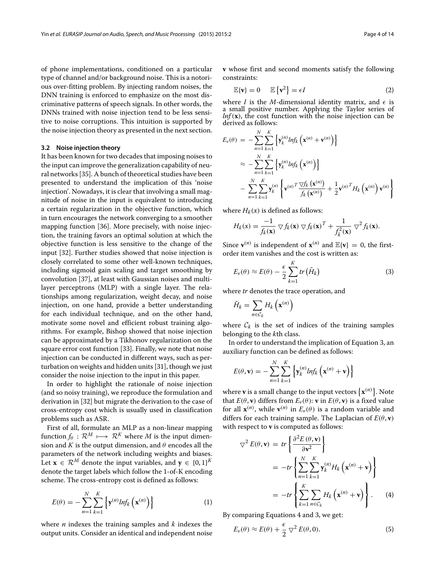of phone implementations, conditioned on a particular type of channel and/or background noise. This is a notorious over-fitting problem. By injecting random noises, the DNN training is enforced to emphasize on the most discriminative patterns of speech signals. In other words, the DNNs trained with noise injection tend to be less sensitive to noise corruptions. This intuition is supported by the noise injection theory as presented in the next section.

#### **3.2 Noise injection theory**

It has been known for two decades that imposing noises to the input can improve the generalization capability of neural networks [\[35\]](#page-13-13). A bunch of theoretical studies have been presented to understand the implication of this 'noise injection'. Nowadays, it is clear that involving a small magnitude of noise in the input is equivalent to introducing a certain regularization in the objective function, which in turn encourages the network converging to a smoother mapping function [\[36\]](#page-13-14). More precisely, with noise injection, the training favors an optimal solution at which the objective function is less sensitive to the change of the input [\[32\]](#page-13-15). Further studies showed that noise injection is closely correlated to some other well-known techniques, including sigmoid gain scaling and target smoothing by convolution [\[37\]](#page-13-16), at least with Gaussian noises and multilayer perceptrons (MLP) with a single layer. The relationships among regularization, weight decay, and noise injection, on one hand, provide a better understanding for each individual technique, and on the other hand, motivate some novel and efficient robust training algorithms. For example, Bishop showed that noise injection can be approximated by a Tikhonov regularization on the square error cost function [\[33\]](#page-13-17). Finally, we note that noise injection can be conducted in different ways, such as perturbation on weights and hidden units [\[31\]](#page-13-11), though we just consider the noise injection to the input in this paper.

In order to highlight the rationale of noise injection (and so noisy training), we reproduce the formulation and derivation in [\[32\]](#page-13-15) but migrate the derivation to the case of cross-entropy cost which is usually used in classification problems such as ASR.

First of all, formulate an MLP as a non-linear mapping function  $f_{\theta}: \mathcal{R}^M \longmapsto \mathcal{R}^K$  where *M* is the input dimension and *K* is the output dimension, and  $\theta$  encodes all the parameters of the network including weights and biases. Let  $\mathbf{x} \in \mathcal{R}^M$  denote the input variables, and  $\mathbf{y} \in \{0,1\}^K$ denote the target labels which follow the 1-of-K encoding scheme. The cross-entropy cost is defined as follows:

$$
E(\theta) = -\sum_{n=1}^{N} \sum_{k=1}^{K} \left\{ \mathbf{y}^{(n)} \ln f_k \left( \mathbf{x}^{(n)} \right) \right\} \tag{1}
$$

where *n* indexes the training samples and *k* indexes the output units. Consider an identical and independent noise

**v** whose first and second moments satisfy the following constraints:

<span id="page-3-3"></span>
$$
\mathbb{E}\{\mathbf{v}\} = 0 \qquad \mathbb{E}\left\{\mathbf{v}^2\right\} = \epsilon I \tag{2}
$$

where *I* is the *M*-dimensional identity matrix, and  $\epsilon$  is a small positive number. Applying the Taylor series of  $ln f(x)$ , the cost function with the noise injection can be derived as follows:

<span id="page-3-0"></span>
$$
E_{\nu}(\theta) = -\sum_{n=1}^{N} \sum_{k=1}^{K} \left\{ \mathbf{y}_{k}^{(n)} ln f_{k} \left( \mathbf{x}^{(n)} + \mathbf{v}^{(n)} \right) \right\}
$$
  
\n
$$
\approx -\sum_{n=1}^{N} \sum_{k=1}^{K} \left\{ \mathbf{y}_{k}^{(n)} ln f_{k} \left( \mathbf{x}^{(n)} \right) \right\}
$$
  
\n
$$
-\sum_{n=1}^{N} \sum_{k=1}^{K} \mathbf{y}_{k}^{(n)} \left\{ \mathbf{v}^{(n)} \frac{\nabla f_{k} \left( \mathbf{x}^{(n)} \right)}{f_{k} \left( \mathbf{x}^{(n)} \right)} + \frac{1}{2} \mathbf{v}^{(n)} \right\} \mathbf{v}^{(n)} \right\}
$$

where  $H_k(x)$  is defined as follows:

$$
H_k(\mathbf{x}) = \frac{-1}{f_k(\mathbf{x})} \nabla f_k(\mathbf{x}) \nabla f_k(\mathbf{x})^T + \frac{1}{f_k^2(\mathbf{x})} \nabla^2 f_k(\mathbf{x}).
$$

Since  $\mathbf{v}^{(n)}$  is independent of  $\mathbf{x}^{(n)}$  and  $\mathbb{E}\{\mathbf{v}\}=0$ , the firstorder item vanishes and the cost is written as:

$$
E_{\nu}(\theta) \approx E(\theta) - \frac{\epsilon}{2} \sum_{k=1}^{K} tr\left(\tilde{H}_k\right)
$$
 (3)

where *tr* denotes the trace operation, and

$$
\tilde{H}_k = \sum_{n \in \mathcal{C}_k} H_k\left(\mathbf{x}^{(n)}\right)
$$

where  $C_k$  is the set of indices of the training samples belonging to the *k*th class.

In order to understand the implication of Equation [3,](#page-3-0) an auxiliary function can be defined as follows:

$$
E(\theta, \mathbf{v}) = -\sum_{n=1}^{N} \sum_{k=1}^{K} \left\{ \mathbf{y}_{k}^{(n)} ln f_{k} \left( \mathbf{x}^{(n)} + \mathbf{v} \right) \right\}
$$

where **v** is a small change to the input vectors  $\{\mathbf{x}^{(n)}\}$ . Note that  $E(\theta, \mathbf{v})$  differs from  $E_v(\theta)$ : **v** in  $E(\theta, \mathbf{v})$  is a fixed value for all  $\mathbf{x}^{(n)}$ , while  $\mathbf{v}^{(n)}$  in  $E_{\nu}(\theta)$  is a random variable and differs for each training sample. The Laplacian of  $E(\theta, \mathbf{v})$ with respect to **v** is computed as follows:

<span id="page-3-1"></span>
$$
\nabla^2 E(\theta, \mathbf{v}) = tr \left\{ \frac{\partial^2 E(\theta, \mathbf{v})}{\partial \mathbf{v}^2} \right\}
$$
  
=  $-tr \left\{ \sum_{n=1}^N \sum_{k=1}^K \mathbf{y}_k^{(n)} H_k \left( \mathbf{x}^{(n)} + \mathbf{v} \right) \right\}$   
=  $-tr \left\{ \sum_{k=1}^K \sum_{n \in C_k} H_k \left( \mathbf{x}^{(n)} + \mathbf{v} \right) \right\}.$  (4)

<span id="page-3-4"></span>By comparing Equations [4](#page-3-1) and [3,](#page-3-0) we get:

<span id="page-3-2"></span>
$$
E_{\nu}(\theta) \approx E(\theta) + \frac{\epsilon}{2} \nabla^2 E(\theta, 0). \tag{5}
$$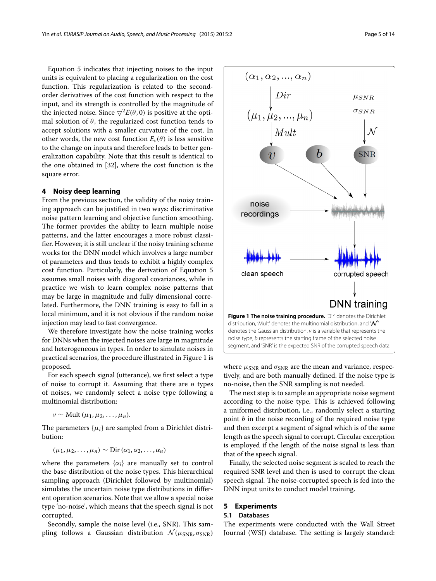Equation [5](#page-3-2) indicates that injecting noises to the input units is equivalent to placing a regularization on the cost function. This regularization is related to the secondorder derivatives of the cost function with respect to the input, and its strength is controlled by the magnitude of the injected noise. Since  $\bigtriangledown^2 E(\theta, 0)$  is positive at the optimal solution of  $\theta$ , the regularized cost function tends to accept solutions with a smaller curvature of the cost. In other words, the new cost function  $E_v(\theta)$  is less sensitive to the change on inputs and therefore leads to better generalization capability. Note that this result is identical to the one obtained in [\[32\]](#page-13-15), where the cost function is the square error.

#### <span id="page-4-0"></span>**4 Noisy deep learning**

From the previous section, the validity of the noisy training approach can be justified in two ways: discriminative noise pattern learning and objective function smoothing. The former provides the ability to learn multiple noise patterns, and the latter encourages a more robust classifier. However, it is still unclear if the noisy training scheme works for the DNN model which involves a large number of parameters and thus tends to exhibit a highly complex cost function. Particularly, the derivation of Equation [5](#page-3-2) assumes small noises with diagonal covariances, while in practice we wish to learn complex noise patterns that may be large in magnitude and fully dimensional correlated. Furthermore, the DNN training is easy to fall in a local minimum, and it is not obvious if the random noise injection may lead to fast convergence.

We therefore investigate how the noise training works for DNNs when the injected noises are large in magnitude and heterogeneous in types. In order to simulate noises in practical scenarios, the procedure illustrated in Figure [1](#page-4-2) is proposed.

For each speech signal (utterance), we first select a type of noise to corrupt it. Assuming that there are *n* types of noises, we randomly select a noise type following a multinomial distribution:

$$
\nu \sim \text{Mult }(\mu_1, \mu_2, \ldots, \mu_n).
$$

The parameters  $\{\mu_i\}$  are sampled from a Dirichlet distribution:

$$
(\mu_1, \mu_2, \ldots, \mu_n) \sim \mathrm{Dir}(\alpha_1, \alpha_2, \ldots, \alpha_n)
$$

where the parameters  $\{\alpha_i\}$  are manually set to control the base distribution of the noise types. This hierarchical sampling approach (Dirichlet followed by multinomial) simulates the uncertain noise type distributions in different operation scenarios. Note that we allow a special noise type 'no-noise', which means that the speech signal is not corrupted.

Secondly, sample the noise level (i.e., SNR). This sampling follows a Gaussian distribution  $\mathcal{N}(\mu_{SNR}, \sigma_{SNR})$ 



<span id="page-4-2"></span>where  $\mu_{SNR}$  and  $\sigma_{SNR}$  are the mean and variance, respectively, and are both manually defined. If the noise type is no-noise, then the SNR sampling is not needed.

The next step is to sample an appropriate noise segment according to the noise type. This is achieved following a uniformed distribution, i.e., randomly select a starting point *b* in the noise recording of the required noise type and then excerpt a segment of signal which is of the same length as the speech signal to corrupt. Circular excerption is employed if the length of the noise signal is less than that of the speech signal.

Finally, the selected noise segment is scaled to reach the required SNR level and then is used to corrupt the clean speech signal. The noise-corrupted speech is fed into the DNN input units to conduct model training.

#### <span id="page-4-1"></span>**5 Experiments**

#### **5.1 Databases**

The experiments were conducted with the Wall Street Journal (WSJ) database. The setting is largely standard: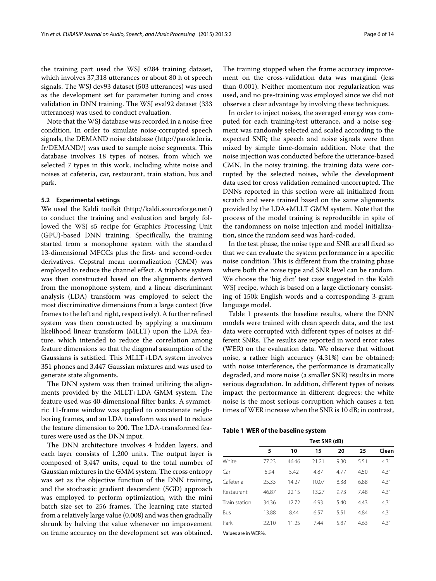the training part used the WSJ si284 training dataset, which involves 37,318 utterances or about 80 h of speech signals. The WSJ dev93 dataset (503 utterances) was used as the development set for parameter tuning and cross validation in DNN training. The WSJ eval92 dataset (333 utterances) was used to conduct evaluation.

Note that the WSJ database was recorded in a noise-free condition. In order to simulate noise-corrupted speech signals, the DEMAND noise database [\(http://parole.loria.](http://parole.loria.fr/DEMAND/) [fr/DEMAND/\)](http://parole.loria.fr/DEMAND/) was used to sample noise segments. This database involves 18 types of noises, from which we selected 7 types in this work, including white noise and noises at cafeteria, car, restaurant, train station, bus and park.

#### **5.2 Experimental settings**

We used the Kaldi toolkit [\(http://kaldi.sourceforge.net/\)](http://kaldi.sourceforge.net/) to conduct the training and evaluation and largely followed the WSJ s5 recipe for Graphics Processing Unit (GPU)-based DNN training. Specifically, the training started from a monophone system with the standard 13-dimensional MFCCs plus the first- and second-order derivatives. Cepstral mean normalization (CMN) was employed to reduce the channel effect. A triphone system was then constructed based on the alignments derived from the monophone system, and a linear discriminant analysis (LDA) transform was employed to select the most discriminative dimensions from a large context (five frames to the left and right, respectively). A further refined system was then constructed by applying a maximum likelihood linear transform (MLLT) upon the LDA feature, which intended to reduce the correlation among feature dimensions so that the diagonal assumption of the Gaussians is satisfied. This MLLT+LDA system involves 351 phones and 3,447 Gaussian mixtures and was used to generate state alignments.

The DNN system was then trained utilizing the alignments provided by the MLLT+LDA GMM system. The feature used was 40-dimensional filter banks. A symmetric 11-frame window was applied to concatenate neighboring frames, and an LDA transform was used to reduce the feature dimension to 200. The LDA-transformed features were used as the DNN input.

The DNN architecture involves 4 hidden layers, and each layer consists of 1,200 units. The output layer is composed of 3,447 units, equal to the total number of Gaussian mixtures in the GMM system. The cross entropy was set as the objective function of the DNN training, and the stochastic gradient descendent (SGD) approach was employed to perform optimization, with the mini batch size set to 256 frames. The learning rate started from a relatively large value (0.008) and was then gradually shrunk by halving the value whenever no improvement on frame accuracy on the development set was obtained. The training stopped when the frame accuracy improvement on the cross-validation data was marginal (less than 0.001). Neither momentum nor regularization was used, and no pre-training was employed since we did not observe a clear advantage by involving these techniques.

In order to inject noises, the averaged energy was computed for each training/test utterance, and a noise segment was randomly selected and scaled according to the expected SNR; the speech and noise signals were then mixed by simple time-domain addition. Note that the noise injection was conducted before the utterance-based CMN. In the noisy training, the training data were corrupted by the selected noises, while the development data used for cross validation remained uncorrupted. The DNNs reported in this section were all initialized from scratch and were trained based on the same alignments provided by the LDA+MLLT GMM system. Note that the process of the model training is reproducible in spite of the randomness on noise injection and model initialization, since the random seed was hard-coded.

In the test phase, the noise type and SNR are all fixed so that we can evaluate the system performance in a specific noise condition. This is different from the training phase where both the noise type and SNR level can be random. We choose the 'big dict' test case suggested in the Kaldi WSJ recipe, which is based on a large dictionary consisting of 150k English words and a corresponding 3-gram language model.

Table [1](#page-5-0) presents the baseline results, where the DNN models were trained with clean speech data, and the test data were corrupted with different types of noises at different SNRs. The results are reported in word error rates (WER) on the evaluation data. We observe that without noise, a rather high accuracy (4.31%) can be obtained; with noise interference, the performance is dramatically degraded, and more noise (a smaller SNR) results in more serious degradation. In addition, different types of noises impact the performance in different degrees: the white noise is the most serious corruption which causes a ten times of WER increase when the SNR is 10 dB; in contrast,

| Table 1 WER of the baseline system |  |  |  |  |
|------------------------------------|--|--|--|--|
|------------------------------------|--|--|--|--|

<span id="page-5-0"></span>

|                  | Test SNR (dB) |       |       |      |      |       |  |  |
|------------------|---------------|-------|-------|------|------|-------|--|--|
|                  | 5             | 10    | 15    | 20   | 25   | Clean |  |  |
| White            | 77.23         | 46.46 | 21.21 | 9.30 | 5.51 | 4.31  |  |  |
| Car              | 5.94          | 5.42  | 4.87  | 4.77 | 4.50 | 4.31  |  |  |
| Cafeteria        | 25.33         | 14.27 | 10.07 | 8.38 | 6.88 | 4.31  |  |  |
| Restaurant       | 46.87         | 22.15 | 13.27 | 9.73 | 7.48 | 4.31  |  |  |
| Train station    | 34.36         | 12.72 | 6.93  | 5.40 | 4.43 | 4.31  |  |  |
| Bus              | 13.88         | 8.44  | 6.57  | 5.51 | 4.84 | 4.31  |  |  |
| Park             | 22.10         | 11.25 | 7.44  | 5.87 | 4.63 | 4.31  |  |  |
| $11.1$ $1.17704$ |               |       |       |      |      |       |  |  |

Values are in WER%.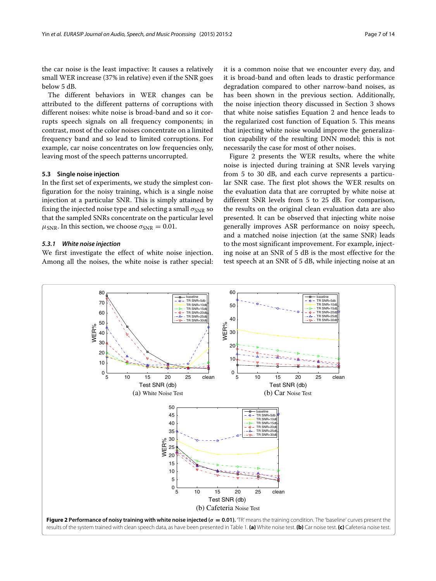the car noise is the least impactive: It causes a relatively small WER increase (37% in relative) even if the SNR goes below 5 dB.

The different behaviors in WER changes can be attributed to the different patterns of corruptions with different noises: white noise is broad-band and so it corrupts speech signals on all frequency components; in contrast, most of the color noises concentrate on a limited frequency band and so lead to limited corruptions. For example, car noise concentrates on low frequencies only, leaving most of the speech patterns uncorrupted.

#### **5.3 Single noise injection**

In the first set of experiments, we study the simplest configuration for the noisy training, which is a single noise injection at a particular SNR. This is simply attained by fixing the injected noise type and selecting a small  $\sigma_{SNR}$  so that the sampled SNRs concentrate on the particular level  $\mu_{SNR}$ . In this section, we choose  $\sigma_{SNR} = 0.01$ .

#### *5.3.1 White noise injection*

We first investigate the effect of white noise injection. Among all the noises, the white noise is rather special: it is a common noise that we encounter every day, and it is broad-band and often leads to drastic performance degradation compared to other narrow-band noises, as has been shown in the previous section. Additionally, the noise injection theory discussed in Section [3](#page-2-0) shows that white noise satisfies Equation [2](#page-3-3) and hence leads to the regularized cost function of Equation [5.](#page-3-2) This means that injecting white noise would improve the generalization capability of the resulting DNN model; this is not necessarily the case for most of other noises.

Figure [2](#page-6-0) presents the WER results, where the white noise is injected during training at SNR levels varying from 5 to 30 dB, and each curve represents a particular SNR case. The first plot shows the WER results on the evaluation data that are corrupted by white noise at different SNR levels from 5 to 25 dB. For comparison, the results on the original clean evaluation data are also presented. It can be observed that injecting white noise generally improves ASR performance on noisy speech, and a matched noise injection (at the same SNR) leads to the most significant improvement. For example, injecting noise at an SNR of 5 dB is the most effective for the test speech at an SNR of 5 dB, while injecting noise at an

<span id="page-6-0"></span>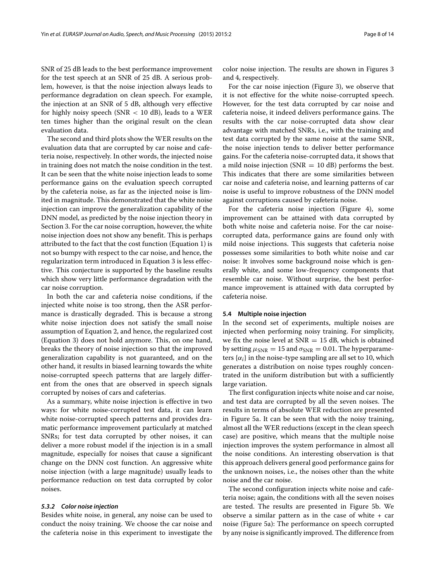SNR of 25 dB leads to the best performance improvement for the test speech at an SNR of 25 dB. A serious problem, however, is that the noise injection always leads to performance degradation on clean speech. For example, the injection at an SNR of 5 dB, although very effective for highly noisy speech (SNR  $<$  10 dB), leads to a WER ten times higher than the original result on the clean evaluation data.

The second and third plots show the WER results on the evaluation data that are corrupted by car noise and cafeteria noise, respectively. In other words, the injected noise in training does not match the noise condition in the test. It can be seen that the white noise injection leads to some performance gains on the evaluation speech corrupted by the cafeteria noise, as far as the injected noise is limited in magnitude. This demonstrated that the white noise injection can improve the generalization capability of the DNN model, as predicted by the noise injection theory in Section [3.](#page-2-0) For the car noise corruption, however, the white noise injection does not show any benefit. This is perhaps attributed to the fact that the cost function (Equation [1\)](#page-3-4) is not so bumpy with respect to the car noise, and hence, the regularization term introduced in Equation [3](#page-3-0) is less effective. This conjecture is supported by the baseline results which show very little performance degradation with the car noise corruption.

In both the car and cafeteria noise conditions, if the injected white noise is too strong, then the ASR performance is drastically degraded. This is because a strong white noise injection does not satisfy the small noise assumption of Equation [2,](#page-3-3) and hence, the regularized cost (Equation [3\)](#page-3-0) does not hold anymore. This, on one hand, breaks the theory of noise injection so that the improved generalization capability is not guaranteed, and on the other hand, it results in biased learning towards the white noise-corrupted speech patterns that are largely different from the ones that are observed in speech signals corrupted by noises of cars and cafeterias.

As a summary, white noise injection is effective in two ways: for white noise-corrupted test data, it can learn white noise-corrupted speech patterns and provides dramatic performance improvement particularly at matched SNRs; for test data corrupted by other noises, it can deliver a more robust model if the injection is in a small magnitude, especially for noises that cause a significant change on the DNN cost function. An aggressive white noise injection (with a large magnitude) usually leads to performance reduction on test data corrupted by color noises.

#### *5.3.2 Color noise injection*

Besides white noise, in general, any noise can be used to conduct the noisy training. We choose the car noise and the cafeteria noise in this experiment to investigate the color noise injection. The results are shown in Figures [3](#page-8-0) and [4,](#page-9-0) respectively.

For the car noise injection (Figure [3\)](#page-8-0), we observe that it is not effective for the white noise-corrupted speech. However, for the test data corrupted by car noise and cafeteria noise, it indeed delivers performance gains. The results with the car noise-corrupted data show clear advantage with matched SNRs, i.e., with the training and test data corrupted by the same noise at the same SNR, the noise injection tends to deliver better performance gains. For the cafeteria noise-corrupted data, it shows that a mild noise injection ( $SNR = 10$  dB) performs the best. This indicates that there are some similarities between car noise and cafeteria noise, and learning patterns of car noise is useful to improve robustness of the DNN model against corruptions caused by cafeteria noise.

For the cafeteria noise injection (Figure [4\)](#page-9-0), some improvement can be attained with data corrupted by both white noise and cafeteria noise. For the car noisecorrupted data, performance gains are found only with mild noise injections. This suggests that cafeteria noise possesses some similarities to both white noise and car noise: It involves some background noise which is generally white, and some low-frequency components that resemble car noise. Without surprise, the best performance improvement is attained with data corrupted by cafeteria noise.

#### **5.4 Multiple noise injection**

In the second set of experiments, multiple noises are injected when performing noisy training. For simplicity, we fix the noise level at  $SNR = 15$  dB, which is obtained by setting  $\mu_{SNR} = 15$  and  $\sigma_{SNR} = 0.01$ . The hyperparameters  $\{\alpha_i\}$  in the noise-type sampling are all set to 10, which generates a distribution on noise types roughly concentrated in the uniform distribution but with a sufficiently large variation.

The first configuration injects white noise and car noise, and test data are corrupted by all the seven noises. The results in terms of absolute WER reduction are presented in Figure [5a](#page-9-1). It can be seen that with the noisy training, almost all the WER reductions (except in the clean speech case) are positive, which means that the multiple noise injection improves the system performance in almost all the noise conditions. An interesting observation is that this approach delivers general good performance gains for the unknown noises, i.e., the noises other than the white noise and the car noise.

The second configuration injects white noise and cafeteria noise; again, the conditions with all the seven noises are tested. The results are presented in Figure [5b](#page-9-1). We observe a similar pattern as in the case of white + car noise (Figure [5a](#page-9-1)): The performance on speech corrupted by any noise is significantly improved. The difference from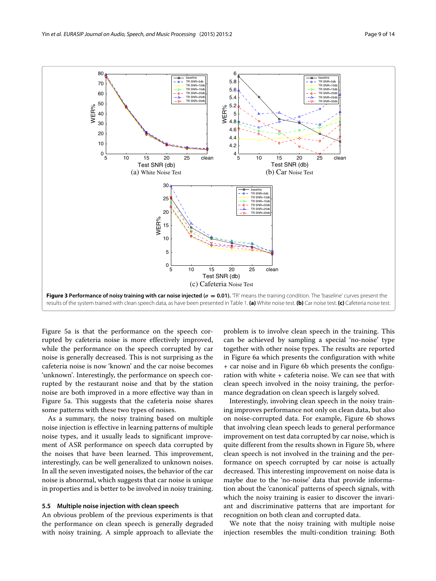

<span id="page-8-0"></span>Figure [5a](#page-9-1) is that the performance on the speech corrupted by cafeteria noise is more effectively improved, while the performance on the speech corrupted by car noise is generally decreased. This is not surprising as the cafeteria noise is now 'known' and the car noise becomes 'unknown'. Interestingly, the performance on speech corrupted by the restaurant noise and that by the station noise are both improved in a more effective way than in Figure [5a](#page-9-1). This suggests that the cafeteria noise shares some patterns with these two types of noises.

As a summary, the noisy training based on multiple noise injection is effective in learning patterns of multiple noise types, and it usually leads to significant improvement of ASR performance on speech data corrupted by the noises that have been learned. This improvement, interestingly, can be well generalized to unknown noises. In all the seven investigated noises, the behavior of the car noise is abnormal, which suggests that car noise is unique in properties and is better to be involved in noisy training.

#### **5.5 Multiple noise injection with clean speech**

An obvious problem of the previous experiments is that the performance on clean speech is generally degraded with noisy training. A simple approach to alleviate the problem is to involve clean speech in the training. This can be achieved by sampling a special 'no-noise' type together with other noise types. The results are reported in Figure [6a](#page-10-0) which presents the configuration with white + car noise and in Figure [6b](#page-10-0) which presents the configuration with white + cafeteria noise. We can see that with clean speech involved in the noisy training, the performance degradation on clean speech is largely solved.

Interestingly, involving clean speech in the noisy training improves performance not only on clean data, but also on noise-corrupted data. For example, Figure [6b](#page-10-0) shows that involving clean speech leads to general performance improvement on test data corrupted by car noise, which is quite different from the results shown in Figure [5b](#page-9-1), where clean speech is not involved in the training and the performance on speech corrupted by car noise is actually decreased. This interesting improvement on noise data is maybe due to the 'no-noise' data that provide information about the 'canonical' patterns of speech signals, with which the noisy training is easier to discover the invariant and discriminative patterns that are important for recognition on both clean and corrupted data.

We note that the noisy training with multiple noise injection resembles the multi-condition training: Both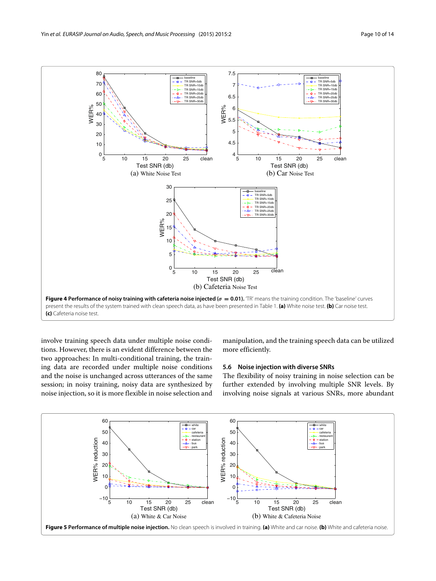

<span id="page-9-0"></span>involve training speech data under multiple noise conditions. However, there is an evident difference between the two approaches: In multi-conditional training, the training data are recorded under multiple noise conditions and the noise is unchanged across utterances of the same session; in noisy training, noisy data are synthesized by noise injection, so it is more flexible in noise selection and manipulation, and the training speech data can be utilized more efficiently.

#### **5.6 Noise injection with diverse SNRs**

The flexibility of noisy training in noise selection can be further extended by involving multiple SNR levels. By involving noise signals at various SNRs, more abundant

<span id="page-9-1"></span>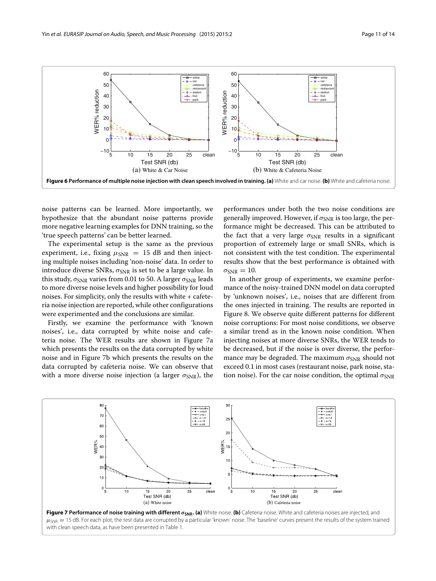

<span id="page-10-0"></span>noise patterns can be learned. More importantly, we hypothesize that the abundant noise patterns provide more negative learning examples for DNN training, so the 'true speech patterns' can be better learned.

The experimental setup is the same as the previous experiment, i.e., fixing  $\mu_{SNR}$  = 15 dB and then injecting multiple noises including 'non-noise' data. In order to introduce diverse SNRs,  $\sigma_{SNR}$  is set to be a large value. In this study,  $\sigma_{\rm SNR}$  varies from 0.01 to 50. A larger  $\sigma_{\rm SNR}$  leads to more diverse noise levels and higher possibility for loud noises. For simplicity, only the results with white + cafeteria noise injection are reported, while other configurations were experimented and the conclusions are similar.

Firstly, we examine the performance with 'known noises', i.e., data corrupted by white noise and cafeteria noise. The WER results are shown in Figure [7a](#page-10-1) which presents the results on the data corrupted by white noise and in Figure [7b](#page-10-1) which presents the results on the data corrupted by cafeteria noise. We can observe that with a more diverse noise injection (a larger  $\sigma_{SNR}$ ), the

performances under both the two noise conditions are generally improved. However, if  $\sigma_{SNR}$  is too large, the performance might be decreased. This can be attributed to the fact that a very large  $\sigma_{SNR}$  results in a significant proportion of extremely large or small SNRs, which is not consistent with the test condition. The experimental results show that the best performance is obtained with  $\sigma_{SNR} = 10$ .

In another group of experiments, we examine performance of the noisy-trained DNN model on data corrupted by 'unknown noises', i.e., noises that are different from the ones injected in training. The results are reported in Figure [8.](#page-11-0) We observe quite different patterns for different noise corruptions: For most noise conditions, we observe a similar trend as in the known noise condition. When injecting noises at more diverse SNRs, the WER tends to be decreased, but if the noise is over diverse, the performance may be degraded. The maximum  $\sigma_{SNR}$  should not exceed 0.1 in most cases (restaurant noise, park noise, station noise). For the car noise condition, the optimal  $\sigma_{SNR}$ 



<span id="page-10-1"></span>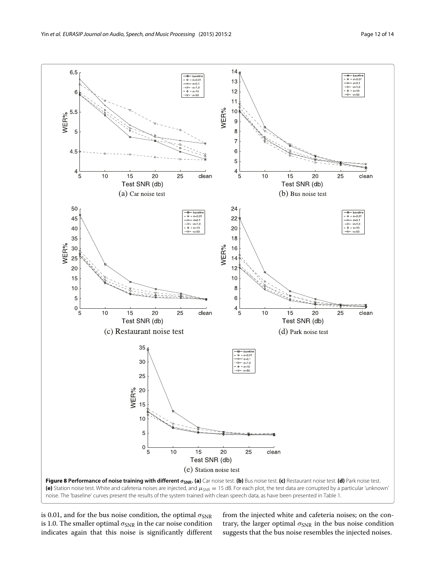

<span id="page-11-0"></span>is 0.01, and for the bus noise condition, the optimal  $\sigma_{\rm SNR}$ is 1.0. The smaller optimal  $\sigma_{SNR}$  in the car noise condition indicates again that this noise is significantly different from the injected white and cafeteria noises; on the contrary, the larger optimal  $\sigma_{SNR}$  in the bus noise condition suggests that the bus noise resembles the injected noises.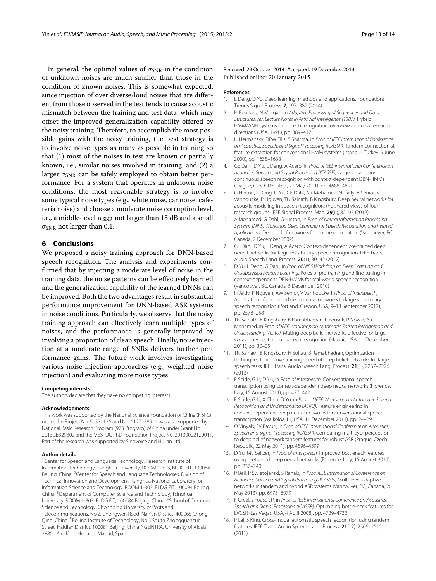In general, the optimal values of  $\sigma_{SNR}$  in the condition of unknown noises are much smaller than those in the condition of known noises. This is somewhat expected, since injection of over diverse/loud noises that are different from those observed in the test tends to cause acoustic mismatch between the training and test data, which may offset the improved generalization capability offered by the noisy training. Therefore, to accomplish the most possible gains with the noisy training, the best strategy is to involve noise types as many as possible in training so that (1) most of the noises in test are known or partially known, i.e., similar noises involved in training, and (2) a larger  $\sigma_{SNR}$  can be safely employed to obtain better performance. For a system that operates in unknown noise conditions, the most reasonable strategy is to involve some typical noise types (e.g., white noise, car noise, cafeteria noise) and choose a moderate noise corruption level, i.e., a middle-level  $\mu_{SNR}$  not larger than 15 dB and a small  $\sigma_{SNR}$  not larger than 0.1.

### <span id="page-12-8"></span>**6 Conclusions**

We proposed a noisy training approach for DNN-based speech recognition. The analysis and experiments confirmed that by injecting a moderate level of noise in the training data, the noise patterns can be effectively learned and the generalization capability of the learned DNNs can be improved. Both the two advantages result in substantial performance improvement for DNN-based ASR systems in noise conditions. Particularly, we observe that the noisy training approach can effectively learn multiple types of noises, and the performance is generally improved by involving a proportion of clean speech. Finally, noise injection at a moderate range of SNRs delivers further performance gains. The future work involves investigating various noise injection approaches (e.g., weighted noise injection) and evaluating more noise types.

#### **Competing interests**

The authors declare that they have no competing interests.

#### **Acknowledgements**

This work was supported by the National Science Foundation of China (NSFC) under the Project No. 61371136 and No. 61271389. It was also supported by National Basic Research Program (973 Program) of China under Grant No. 2013CB329302 and the MESTDC PhD Foundation Project No. 20130002120011. Part of the research was supported by Sinovoice and Huilan Ltd.

#### **Author details**

<sup>1</sup> Center for Speech and Language Technology, Research Institute of Information Technology, Tsinghua University, ROOM 1-303, BLDG FIT, 100084 Beijing, China. <sup>2</sup> Center for Speech and Language Technologies, Division of Technical Innovation and Development, Tsinghua National Laboratory for Information Science and Technology, ROOM 1-303, BLDG FIT, 100084 Beijing, China. 3Department of Computer Science and Technology, Tsinghua University, ROOM 1-303, BLDG FIT, 100084 Beijing, China. <sup>4</sup> School of Computer Science and Technology, Chongqing University of Posts and Telecommunications, No.2, Chongwen Road, Nan'an District, 400065 Chong Qing, China. <sup>5</sup>Beijing Institute of Technology, No.5 South Zhongguancun Street, Haidian District, 100081 Beijing, China. <sup>6</sup>GEINTRA, University of Alcalá, 28801 Alcalá de Henares, Madrid, Spain.

#### Received: 29 October 2014 Accepted: 19 December 2014 Published online: 20 January 2015

#### **References**

- <span id="page-12-0"></span>1. L Deng, D Yu, Deep learning: methods and applications. Foundations Trends Signal Process. **7**, 197–387 (2014)
- <span id="page-12-1"></span>2. H Bourlard, N Morgan, in Adaptive Processing of Sequences and Data Structures, ser. Lecture Notes in Artificial Intelligence (1387), Hybrid HMM/ANN systems for speech recognition: overview and new research directions (USA, 1998), pp. 389–417
- <span id="page-12-2"></span>3. H Hermansky, DPW Ellis, S Sharma, in Proc. of IEEE International Conference on Acoustics, Speech, and Signal Processing (ICASSP), Tandem connectionist feature extraction for conventional HMM systems (Istanbul, Turkey, 9 June 2000), pp. 1635–1638
- <span id="page-12-3"></span>4. GE Dahl, D Yu, L Deng, A Acero, in Proc. of IEEE International Conference on Acoustics, Speech and Signal Processing (ICASSP), Large vocabulary continuous speech recognition with context-dependent DBN-HMMs (Prague, Czech Republic, 22 May 2011), pp. 4688–4691
- <span id="page-12-4"></span>5. G Hinton, L Deng, D Yu, GE Dahl, A-r Mohamed, N Jaitly, A Senior, V Vanhoucke, P Nguyen, TN Sainath, B Kingsbury, Deep neural networks for acoustic modeling in speech recognition: the shared views of four research groups. IEEE Signal Process. Mag. **29**(6), 82–97 (2012)
- <span id="page-12-5"></span>6. A Mohamed, G Dahl, G Hinton, in Proc. of Neural Information Processing Systems (NIPS) Workshop Deep Learning for Speech Recognition and Related Applications, Deep belief networks for phone recognition (Vancouver, BC, Canada, 7 December 2009)
- 7. GE Dahl, D Yu, L Deng, A Acero, Context-dependent pre-trained deep neural networks for large-vocabulary speech recognition. IEEE Trans. Audio Speech Lang. Process. **20**(1), 30–42 (2012)
- 8. D Yu, L Deng, G Dahl, in Proc. of NIPS Workshop on Deep Learning and Unsupervised Feature Learning, Roles of pre-training and fine-tuning in context-dependent DBN-HMMs for real-world speech recognition (Vancouver, BC, Canada, 6 December, 2010)
- N Jaitly, P Nguyen, AW Senior, V Vanhoucke, in Proc. of Interspeech, Application of pretrained deep neural networks to large vocabulary speech recognition (Portland, Oregon, USA, 9–13 September 2012), pp. 2578–2581
- 10. TN Sainath, B Kingsbury, B Ramabhadran, P Fousek, P Novak, A-r Mohamed, in Proc. of IEEE Workshop on Automatic Speech Recognition and Understanding (ASRU), Making deep belief networks effective for large vocabulary continuous speech recognition (Hawaii, USA, 11 December 2011), pp. 30–35
- 11. TN Sainath, B Kingsbury, H Soltau, B Ramabhadran, Optimization techniques to improve training speed of deep belief networks for large speech tasks. IEEE Trans. Audio Speech Lang. Process. **21**(1), 2267–2276 (2013)
- 12. F Seide, G Li, D Yu, in Proc. of Interspeech, Conversational speech transcription using context-dependent deep neural networks (Florence, Italy, 15 August 2011), pp. 437–440
- <span id="page-12-6"></span>13. F Seide, G Li, X Chen, D Yu, in Proc. of IEEE Workshop on Automatic Speech Recognition and Understanding (ASRU), Feature engineering in context-dependent deep neural networks for conversational speech transcription (Waikoloa, HI, USA, 11 December 2011), pp. 24–29
- <span id="page-12-7"></span>14. O Vinyals, SV Ravuri, in Proc. of IEEE International Conference on Acoustics, Speech and Signal Processing (ICASSP), Comparing multilayer perceptron to deep belief network tandem features for robust ASR (Prague, Czech Republic, 22 May 2011), pp. 4596–4599
- 15. D Yu, ML Seltzer, in Proc. of Interspeech, Improved bottleneck features using pretrained deep neural networks (Florence, Italy, 15 August 2011), pp. 237–240
- 16. P Bell, P Swietojanski, S Renals, in Proc. IEEE International Conference on Acoustics, Speech and Signal Processing (ICASSP), Multi-level adaptive networks in tandem and hybrid ASR systems (Vancouver, BC, Canada, 26 May 2013), pp. 6975–6979
- 17. F Grezl, s Fousek P, in Proc. of IEEE International Conference on Acoustics, Speech and Signal Processing (ICASSP), Optimizing bottle-neck features for LVCSR (Las Vegas, USA, 4 April 2008), pp. 4729–4732
- 18. P Lal, S King, Cross-lingual automatic speech recognition using tandem features. IEEE Trans. Audio Speech Lang. Process. **21**(12), 2506–2515 (2011)